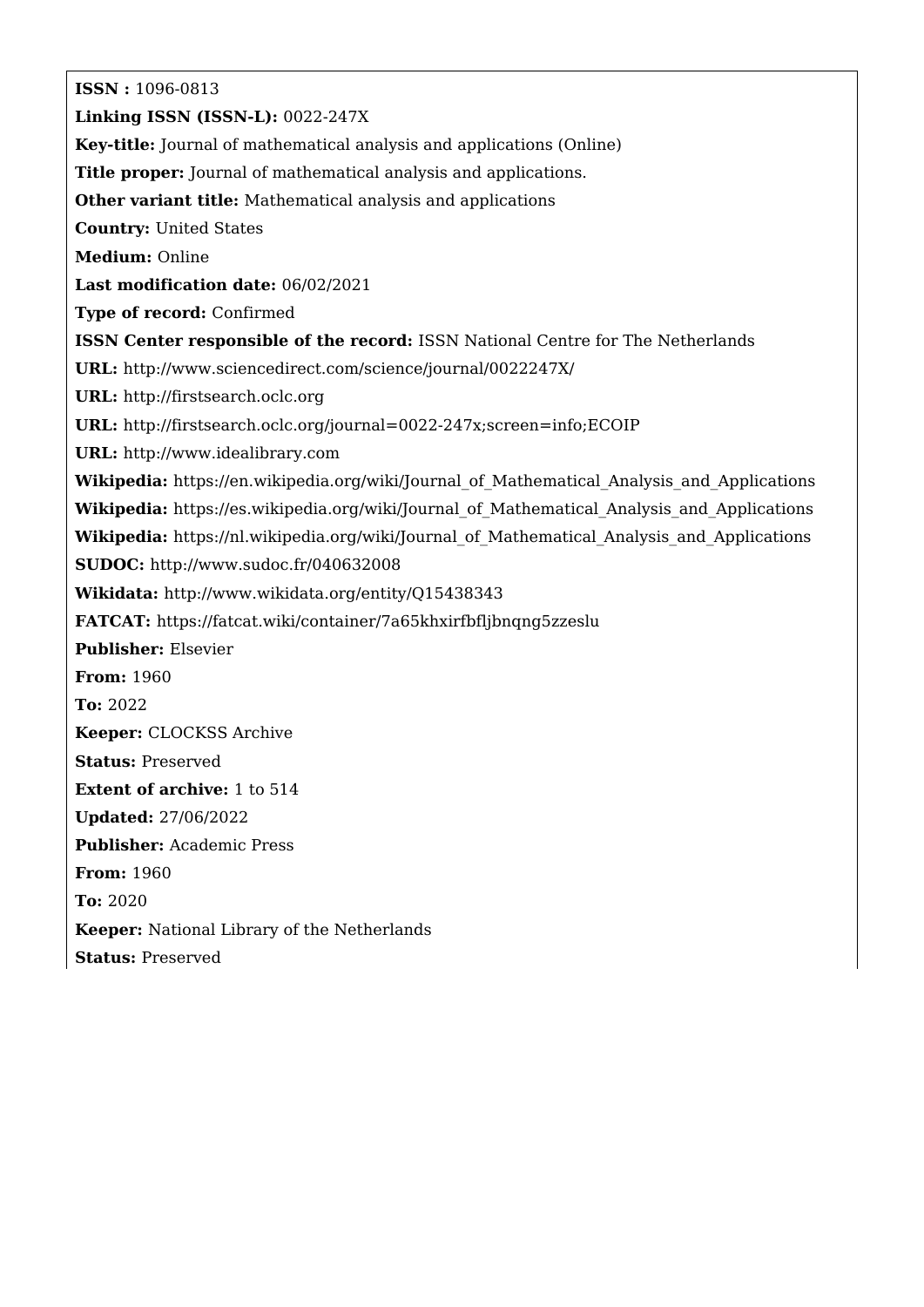**ISSN :** 1096-0813 **Linking ISSN (ISSN-L):** 0022-247X **Key-title:** Journal of mathematical analysis and applications (Online) **Title proper:** Journal of mathematical analysis and applications. **Other variant title:** Mathematical analysis and applications **Country:** United States **Medium:** Online **Last modification date:** 06/02/2021 **Type of record:** Confirmed **ISSN Center responsible of the record:** ISSN National Centre for The Netherlands **URL:** <http://www.sciencedirect.com/science/journal/0022247X/> **URL:** <http://firstsearch.oclc.org> **URL:** <http://firstsearch.oclc.org/journal=0022-247x;screen=info;ECOIP> **URL:** <http://www.idealibrary.com> Wikipedia: https://en.wikipedia.org/wiki/Journal of Mathematical Analysis and Applications Wikipedia: https://es.wikipedia.org/wiki/Journal of Mathematical Analysis and Applications Wikipedia: https://nl.wikipedia.org/wiki/Journal of Mathematical Analysis and Applications **SUDOC:** <http://www.sudoc.fr/040632008> **Wikidata:** <http://www.wikidata.org/entity/Q15438343> **FATCAT:** <https://fatcat.wiki/container/7a65khxirfbfljbnqng5zzeslu> **Publisher:** Elsevier **From:** 1960 **To:** 2022 **Keeper:** CLOCKSS Archive **Status:** Preserved **Extent of archive:** 1 to 514 **Updated:** 27/06/2022 **Publisher:** Academic Press **From:** 1960 **To:** 2020 **Keeper:** National Library of the Netherlands **Status:** Preserved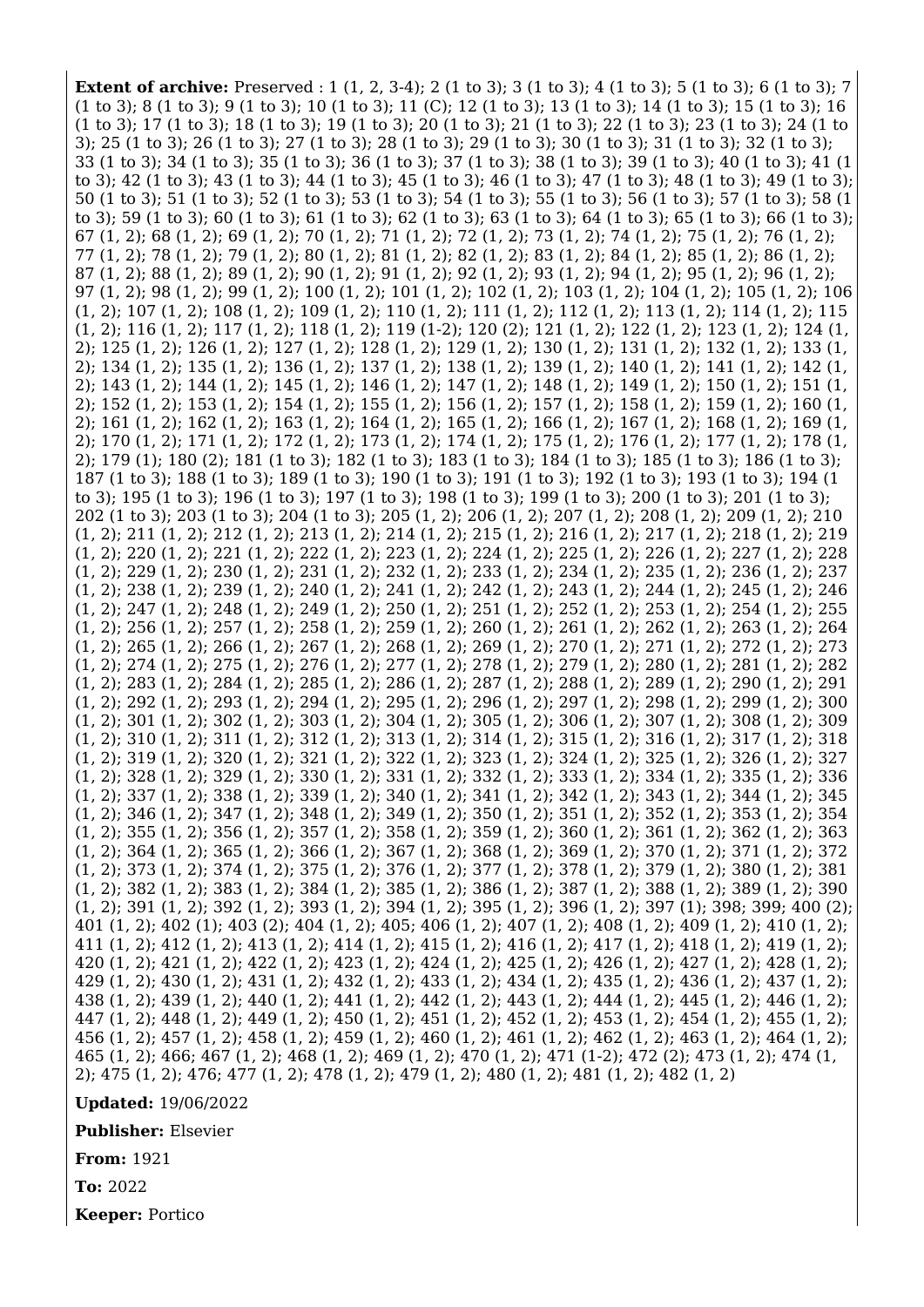**Extent of archive:** Preserved : 1 (1, 2, 3-4); 2 (1 to 3); 3 (1 to 3); 4 (1 to 3); 5 (1 to 3); 6 (1 to 3); 7 (1 to 3); 8 (1 to 3); 9 (1 to 3); 10 (1 to 3); 11 (C); 12 (1 to 3); 13 (1 to 3); 14 (1 to 3); 15 (1 to 3); 16 (1 to 3); 17 (1 to 3); 18 (1 to 3); 19 (1 to 3); 20 (1 to 3); 21 (1 to 3); 22 (1 to 3); 23 (1 to 3); 24 (1 to 3); 25 (1 to 3); 26 (1 to 3); 27 (1 to 3); 28 (1 to 3); 29 (1 to 3); 30 (1 to 3); 31 (1 to 3); 32 (1 to 3); 33 (1 to 3); 34 (1 to 3); 35 (1 to 3); 36 (1 to 3); 37 (1 to 3); 38 (1 to 3); 39 (1 to 3); 40 (1 to 3); 41 (1 to 3); 42 (1 to 3); 43 (1 to 3); 44 (1 to 3); 45 (1 to 3); 46 (1 to 3); 47 (1 to 3); 48 (1 to 3); 49 (1 to 3); 50 (1 to 3); 51 (1 to 3); 52 (1 to 3); 53 (1 to 3); 54 (1 to 3); 55 (1 to 3); 56 (1 to 3); 57 (1 to 3); 58 (1 to 3); 59 (1 to 3); 60 (1 to 3); 61 (1 to 3); 62 (1 to 3); 63 (1 to 3); 64 (1 to 3); 65 (1 to 3); 66 (1 to 3); 67 (1, 2); 68 (1, 2); 69 (1, 2); 70 (1, 2); 71 (1, 2); 72 (1, 2); 73 (1, 2); 74 (1, 2); 75 (1, 2); 76 (1, 2); 77 (1, 2); 78 (1, 2); 79 (1, 2); 80 (1, 2); 81 (1, 2); 82 (1, 2); 83 (1, 2); 84 (1, 2); 85 (1, 2); 86 (1, 2); 87 (1, 2); 88 (1, 2); 89 (1, 2); 90 (1, 2); 91 (1, 2); 92 (1, 2); 93 (1, 2); 94 (1, 2); 95 (1, 2); 96 (1, 2); 97 (1, 2); 98 (1, 2); 99 (1, 2); 100 (1, 2); 101 (1, 2); 102 (1, 2); 103 (1, 2); 104 (1, 2); 105 (1, 2); 106 (1, 2); 107 (1, 2); 108 (1, 2); 109 (1, 2); 110 (1, 2); 111 (1, 2); 112 (1, 2); 113 (1, 2); 114 (1, 2); 115 (1, 2); 116 (1, 2); 117 (1, 2); 118 (1, 2); 119 (1-2); 120 (2); 121 (1, 2); 122 (1, 2); 123 (1, 2); 124 (1, 2); 125 (1, 2); 126 (1, 2); 127 (1, 2); 128 (1, 2); 129 (1, 2); 130 (1, 2); 131 (1, 2); 132 (1, 2); 133 (1, 2); 134 (1, 2); 135 (1, 2); 136 (1, 2); 137 (1, 2); 138 (1, 2); 139 (1, 2); 140 (1, 2); 141 (1, 2); 142 (1, 2); 143 (1, 2); 144 (1, 2); 145 (1, 2); 146 (1, 2); 147 (1, 2); 148 (1, 2); 149 (1, 2); 150 (1, 2); 151 (1, 2); 152 (1, 2); 153 (1, 2); 154 (1, 2); 155 (1, 2); 156 (1, 2); 157 (1, 2); 158 (1, 2); 159 (1, 2); 160 (1, 2); 161 (1, 2); 162 (1, 2); 163 (1, 2); 164 (1, 2); 165 (1, 2); 166 (1, 2); 167 (1, 2); 168 (1, 2); 169 (1, 2); 170 (1, 2); 171 (1, 2); 172 (1, 2); 173 (1, 2); 174 (1, 2); 175 (1, 2); 176 (1, 2); 177 (1, 2); 178 (1, 2); 179 (1); 180 (2); 181 (1 to 3); 182 (1 to 3); 183 (1 to 3); 184 (1 to 3); 185 (1 to 3); 186 (1 to 3); 187 (1 to 3); 188 (1 to 3); 189 (1 to 3); 190 (1 to 3); 191 (1 to 3); 192 (1 to 3); 193 (1 to 3); 194 (1 to 3); 195 (1 to 3); 196 (1 to 3); 197 (1 to 3); 198 (1 to 3); 199 (1 to 3); 200 (1 to 3); 201 (1 to 3); 202 (1 to 3); 203 (1 to 3); 204 (1 to 3); 205 (1, 2); 206 (1, 2); 207 (1, 2); 208 (1, 2); 209 (1, 2); 210 (1, 2); 211 (1, 2); 212 (1, 2); 213 (1, 2); 214 (1, 2); 215 (1, 2); 216 (1, 2); 217 (1, 2); 218 (1, 2); 219 (1, 2); 220 (1, 2); 221 (1, 2); 222 (1, 2); 223 (1, 2); 224 (1, 2); 225 (1, 2); 226 (1, 2); 227 (1, 2); 228 (1, 2); 229 (1, 2); 230 (1, 2); 231 (1, 2); 232 (1, 2); 233 (1, 2); 234 (1, 2); 235 (1, 2); 236 (1, 2); 237 (1, 2); 238 (1, 2); 239 (1, 2); 240 (1, 2); 241 (1, 2); 242 (1, 2); 243 (1, 2); 244 (1, 2); 245 (1, 2); 246 (1, 2); 247 (1, 2); 248 (1, 2); 249 (1, 2); 250 (1, 2); 251 (1, 2); 252 (1, 2); 253 (1, 2); 254 (1, 2); 255 (1, 2); 256 (1, 2); 257 (1, 2); 258 (1, 2); 259 (1, 2); 260 (1, 2); 261 (1, 2); 262 (1, 2); 263 (1, 2); 264 (1, 2); 265 (1, 2); 266 (1, 2); 267 (1, 2); 268 (1, 2); 269 (1, 2); 270 (1, 2); 271 (1, 2); 272 (1, 2); 273 (1, 2); 274 (1, 2); 275 (1, 2); 276 (1, 2); 277 (1, 2); 278 (1, 2); 279 (1, 2); 280 (1, 2); 281 (1, 2); 282 (1, 2); 283 (1, 2); 284 (1, 2); 285 (1, 2); 286 (1, 2); 287 (1, 2); 288 (1, 2); 289 (1, 2); 290 (1, 2); 291 (1, 2); 292 (1, 2); 293 (1, 2); 294 (1, 2); 295 (1, 2); 296 (1, 2); 297 (1, 2); 298 (1, 2); 299 (1, 2); 300 (1, 2); 301 (1, 2); 302 (1, 2); 303 (1, 2); 304 (1, 2); 305 (1, 2); 306 (1, 2); 307 (1, 2); 308 (1, 2); 309 (1, 2); 310 (1, 2); 311 (1, 2); 312 (1, 2); 313 (1, 2); 314 (1, 2); 315 (1, 2); 316 (1, 2); 317 (1, 2); 318 (1, 2); 319 (1, 2); 320 (1, 2); 321 (1, 2); 322 (1, 2); 323 (1, 2); 324 (1, 2); 325 (1, 2); 326 (1, 2); 327 (1, 2); 328 (1, 2); 329 (1, 2); 330 (1, 2); 331 (1, 2); 332 (1, 2); 333 (1, 2); 334 (1, 2); 335 (1, 2); 336 (1, 2); 337 (1, 2); 338 (1, 2); 339 (1, 2); 340 (1, 2); 341 (1, 2); 342 (1, 2); 343 (1, 2); 344 (1, 2); 345 (1, 2); 346 (1, 2); 347 (1, 2); 348 (1, 2); 349 (1, 2); 350 (1, 2); 351 (1, 2); 352 (1, 2); 353 (1, 2); 354 (1, 2); 355 (1, 2); 356 (1, 2); 357 (1, 2); 358 (1, 2); 359 (1, 2); 360 (1, 2); 361 (1, 2); 362 (1, 2); 363 (1, 2); 364 (1, 2); 365 (1, 2); 366 (1, 2); 367 (1, 2); 368 (1, 2); 369 (1, 2); 370 (1, 2); 371 (1, 2); 372 (1, 2); 373 (1, 2); 374 (1, 2); 375 (1, 2); 376 (1, 2); 377 (1, 2); 378 (1, 2); 379 (1, 2); 380 (1, 2); 381 (1, 2); 382 (1, 2); 383 (1, 2); 384 (1, 2); 385 (1, 2); 386 (1, 2); 387 (1, 2); 388 (1, 2); 389 (1, 2); 390 (1, 2); 391 (1, 2); 392 (1, 2); 393 (1, 2); 394 (1, 2); 395 (1, 2); 396 (1, 2); 397 (1); 398; 399; 400 (2); 401 (1, 2); 402 (1); 403 (2); 404 (1, 2); 405; 406 (1, 2); 407 (1, 2); 408 (1, 2); 409 (1, 2); 410 (1, 2); 411 (1, 2); 412 (1, 2); 413 (1, 2); 414 (1, 2); 415 (1, 2); 416 (1, 2); 417 (1, 2); 418 (1, 2); 419 (1, 2); 420 (1, 2); 421 (1, 2); 422 (1, 2); 423 (1, 2); 424 (1, 2); 425 (1, 2); 426 (1, 2); 427 (1, 2); 428 (1, 2); 429 (1, 2); 430 (1, 2); 431 (1, 2); 432 (1, 2); 433 (1, 2); 434 (1, 2); 435 (1, 2); 436 (1, 2); 437 (1, 2); 438 (1, 2); 439 (1, 2); 440 (1, 2); 441 (1, 2); 442 (1, 2); 443 (1, 2); 444 (1, 2); 445 (1, 2); 446 (1, 2); 447 (1, 2); 448 (1, 2); 449 (1, 2); 450 (1, 2); 451 (1, 2); 452 (1, 2); 453 (1, 2); 454 (1, 2); 455 (1, 2); 456 (1, 2); 457 (1, 2); 458 (1, 2); 459 (1, 2); 460 (1, 2); 461 (1, 2); 462 (1, 2); 463 (1, 2); 464 (1, 2); 465 (1, 2); 466; 467 (1, 2); 468 (1, 2); 469 (1, 2); 470 (1, 2); 471 (1-2); 472 (2); 473 (1, 2); 474 (1, 2); 475 (1, 2); 476; 477 (1, 2); 478 (1, 2); 479 (1, 2); 480 (1, 2); 481 (1, 2); 482 (1, 2)

**Updated:** 19/06/2022

**Publisher:** Elsevier

**From:** 1921

**To:** 2022

**Keeper:** Portico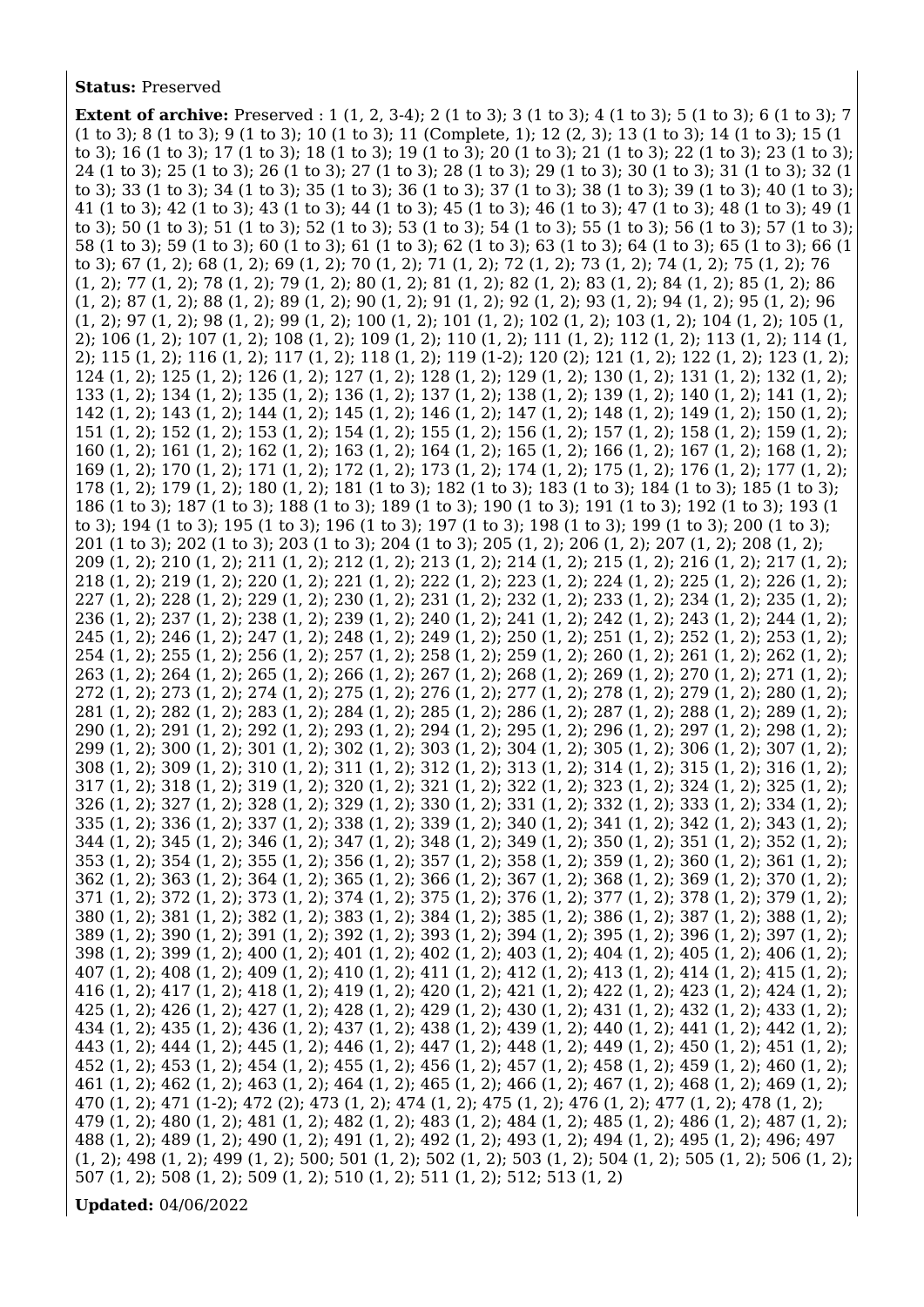## **Status:** Preserved

**Extent of archive:** Preserved : 1 (1, 2, 3-4); 2 (1 to 3); 3 (1 to 3); 4 (1 to 3); 5 (1 to 3); 6 (1 to 3); 7 (1 to 3); 8 (1 to 3); 9 (1 to 3); 10 (1 to 3); 11 (Complete, 1); 12 (2, 3); 13 (1 to 3); 14 (1 to 3); 15 (1 to 3); 16 (1 to 3); 17 (1 to 3); 18 (1 to 3); 19 (1 to 3); 20 (1 to 3); 21 (1 to 3); 22 (1 to 3); 23 (1 to 3); 24 (1 to 3); 25 (1 to 3); 26 (1 to 3); 27 (1 to 3); 28 (1 to 3); 29 (1 to 3); 30 (1 to 3); 31 (1 to 3); 32 (1 to 3); 33 (1 to 3); 34 (1 to 3); 35 (1 to 3); 36 (1 to 3); 37 (1 to 3); 38 (1 to 3); 39 (1 to 3); 40 (1 to 3); 41 (1 to 3); 42 (1 to 3); 43 (1 to 3); 44 (1 to 3); 45 (1 to 3); 46 (1 to 3); 47 (1 to 3); 48 (1 to 3); 49 (1 to 3); 50 (1 to 3); 51 (1 to 3); 52 (1 to 3); 53 (1 to 3); 54 (1 to 3); 55 (1 to 3); 56 (1 to 3); 57 (1 to 3); 58 (1 to 3); 59 (1 to 3); 60 (1 to 3); 61 (1 to 3); 62 (1 to 3); 63 (1 to 3); 64 (1 to 3); 65 (1 to 3); 66 (1 to 3); 67 (1, 2); 68 (1, 2); 69 (1, 2); 70 (1, 2); 71 (1, 2); 72 (1, 2); 73 (1, 2); 74 (1, 2); 75 (1, 2); 76 (1, 2); 77 (1, 2); 78 (1, 2); 79 (1, 2); 80 (1, 2); 81 (1, 2); 82 (1, 2); 83 (1, 2); 84 (1, 2); 85 (1, 2); 86 (1, 2); 87 (1, 2); 88 (1, 2); 89 (1, 2); 90 (1, 2); 91 (1, 2); 92 (1, 2); 93 (1, 2); 94 (1, 2); 95 (1, 2); 96 (1, 2); 97 (1, 2); 98 (1, 2); 99 (1, 2); 100 (1, 2); 101 (1, 2); 102 (1, 2); 103 (1, 2); 104 (1, 2); 105 (1, 2); 106 (1, 2); 107 (1, 2); 108 (1, 2); 109 (1, 2); 110 (1, 2); 111 (1, 2); 112 (1, 2); 113 (1, 2); 114 (1, 2); 115 (1, 2); 116 (1, 2); 117 (1, 2); 118 (1, 2); 119 (1-2); 120 (2); 121 (1, 2); 122 (1, 2); 123 (1, 2); 124 (1, 2); 125 (1, 2); 126 (1, 2); 127 (1, 2); 128 (1, 2); 129 (1, 2); 130 (1, 2); 131 (1, 2); 132 (1, 2); 133 (1, 2); 134 (1, 2); 135 (1, 2); 136 (1, 2); 137 (1, 2); 138 (1, 2); 139 (1, 2); 140 (1, 2); 141 (1, 2); 142 (1, 2); 143 (1, 2); 144 (1, 2); 145 (1, 2); 146 (1, 2); 147 (1, 2); 148 (1, 2); 149 (1, 2); 150 (1, 2); 151 (1, 2); 152 (1, 2); 153 (1, 2); 154 (1, 2); 155 (1, 2); 156 (1, 2); 157 (1, 2); 158 (1, 2); 159 (1, 2); 160 (1, 2); 161 (1, 2); 162 (1, 2); 163 (1, 2); 164 (1, 2); 165 (1, 2); 166 (1, 2); 167 (1, 2); 168 (1, 2); 169 (1, 2); 170 (1, 2); 171 (1, 2); 172 (1, 2); 173 (1, 2); 174 (1, 2); 175 (1, 2); 176 (1, 2); 177 (1, 2); 178 (1, 2); 179 (1, 2); 180 (1, 2); 181 (1 to 3); 182 (1 to 3); 183 (1 to 3); 184 (1 to 3); 185 (1 to 3); 186 (1 to 3); 187 (1 to 3); 188 (1 to 3); 189 (1 to 3); 190 (1 to 3); 191 (1 to 3); 192 (1 to 3); 193 (1 to 3); 194 (1 to 3); 195 (1 to 3); 196 (1 to 3); 197 (1 to 3); 198 (1 to 3); 199 (1 to 3); 200 (1 to 3); 201 (1 to 3); 202 (1 to 3); 203 (1 to 3); 204 (1 to 3); 205 (1, 2); 206 (1, 2); 207 (1, 2); 208 (1, 2); 209 (1, 2); 210 (1, 2); 211 (1, 2); 212 (1, 2); 213 (1, 2); 214 (1, 2); 215 (1, 2); 216 (1, 2); 217 (1, 2); 218 (1, 2); 219 (1, 2); 220 (1, 2); 221 (1, 2); 222 (1, 2); 223 (1, 2); 224 (1, 2); 225 (1, 2); 226 (1, 2); 227 (1, 2); 228 (1, 2); 229 (1, 2); 230 (1, 2); 231 (1, 2); 232 (1, 2); 233 (1, 2); 234 (1, 2); 235 (1, 2); 236 (1, 2); 237 (1, 2); 238 (1, 2); 239 (1, 2); 240 (1, 2); 241 (1, 2); 242 (1, 2); 243 (1, 2); 244 (1, 2); 245 (1, 2); 246 (1, 2); 247 (1, 2); 248 (1, 2); 249 (1, 2); 250 (1, 2); 251 (1, 2); 252 (1, 2); 253 (1, 2); 254 (1, 2); 255 (1, 2); 256 (1, 2); 257 (1, 2); 258 (1, 2); 259 (1, 2); 260 (1, 2); 261 (1, 2); 262 (1, 2); 263 (1, 2); 264 (1, 2); 265 (1, 2); 266 (1, 2); 267 (1, 2); 268 (1, 2); 269 (1, 2); 270 (1, 2); 271 (1, 2); 272 (1, 2); 273 (1, 2); 274 (1, 2); 275 (1, 2); 276 (1, 2); 277 (1, 2); 278 (1, 2); 279 (1, 2); 280 (1, 2); 281 (1, 2); 282 (1, 2); 283 (1, 2); 284 (1, 2); 285 (1, 2); 286 (1, 2); 287 (1, 2); 288 (1, 2); 289 (1, 2); 290 (1, 2); 291 (1, 2); 292 (1, 2); 293 (1, 2); 294 (1, 2); 295 (1, 2); 296 (1, 2); 297 (1, 2); 298 (1, 2); 299 (1, 2); 300 (1, 2); 301 (1, 2); 302 (1, 2); 303 (1, 2); 304 (1, 2); 305 (1, 2); 306 (1, 2); 307 (1, 2); 308 (1, 2); 309 (1, 2); 310 (1, 2); 311 (1, 2); 312 (1, 2); 313 (1, 2); 314 (1, 2); 315 (1, 2); 316 (1, 2); 317 (1, 2); 318 (1, 2); 319 (1, 2); 320 (1, 2); 321 (1, 2); 322 (1, 2); 323 (1, 2); 324 (1, 2); 325 (1, 2); 326 (1, 2); 327 (1, 2); 328 (1, 2); 329 (1, 2); 330 (1, 2); 331 (1, 2); 332 (1, 2); 333 (1, 2); 334 (1, 2); 335 (1, 2); 336 (1, 2); 337 (1, 2); 338 (1, 2); 339 (1, 2); 340 (1, 2); 341 (1, 2); 342 (1, 2); 343 (1, 2); 344 (1, 2); 345 (1, 2); 346 (1, 2); 347 (1, 2); 348 (1, 2); 349 (1, 2); 350 (1, 2); 351 (1, 2); 352 (1, 2); 353 (1, 2); 354 (1, 2); 355 (1, 2); 356 (1, 2); 357 (1, 2); 358 (1, 2); 359 (1, 2); 360 (1, 2); 361 (1, 2); 362 (1, 2); 363 (1, 2); 364 (1, 2); 365 (1, 2); 366 (1, 2); 367 (1, 2); 368 (1, 2); 369 (1, 2); 370 (1, 2); 371 (1, 2); 372 (1, 2); 373 (1, 2); 374 (1, 2); 375 (1, 2); 376 (1, 2); 377 (1, 2); 378 (1, 2); 379 (1, 2); 380 (1, 2); 381 (1, 2); 382 (1, 2); 383 (1, 2); 384 (1, 2); 385 (1, 2); 386 (1, 2); 387 (1, 2); 388 (1, 2); 389 (1, 2); 390 (1, 2); 391 (1, 2); 392 (1, 2); 393 (1, 2); 394 (1, 2); 395 (1, 2); 396 (1, 2); 397 (1, 2); 398 (1, 2); 399 (1, 2); 400 (1, 2); 401 (1, 2); 402 (1, 2); 403 (1, 2); 404 (1, 2); 405 (1, 2); 406 (1, 2); 407 (1, 2); 408 (1, 2); 409 (1, 2); 410 (1, 2); 411 (1, 2); 412 (1, 2); 413 (1, 2); 414 (1, 2); 415 (1, 2); 416 (1, 2); 417 (1, 2); 418 (1, 2); 419 (1, 2); 420 (1, 2); 421 (1, 2); 422 (1, 2); 423 (1, 2); 424 (1, 2); 425 (1, 2); 426 (1, 2); 427 (1, 2); 428 (1, 2); 429 (1, 2); 430 (1, 2); 431 (1, 2); 432 (1, 2); 433 (1, 2); 434 (1, 2); 435 (1, 2); 436 (1, 2); 437 (1, 2); 438 (1, 2); 439 (1, 2); 440 (1, 2); 441 (1, 2); 442 (1, 2); 443 (1, 2); 444 (1, 2); 445 (1, 2); 446 (1, 2); 447 (1, 2); 448 (1, 2); 449 (1, 2); 450 (1, 2); 451 (1, 2); 452 (1, 2); 453 (1, 2); 454 (1, 2); 455 (1, 2); 456 (1, 2); 457 (1, 2); 458 (1, 2); 459 (1, 2); 460 (1, 2); 461 (1, 2); 462 (1, 2); 463 (1, 2); 464 (1, 2); 465 (1, 2); 466 (1, 2); 467 (1, 2); 468 (1, 2); 469 (1, 2); 470 (1, 2); 471 (1-2); 472 (2); 473 (1, 2); 474 (1, 2); 475 (1, 2); 476 (1, 2); 477 (1, 2); 478 (1, 2); 479 (1, 2); 480 (1, 2); 481 (1, 2); 482 (1, 2); 483 (1, 2); 484 (1, 2); 485 (1, 2); 486 (1, 2); 487 (1, 2); 488 (1, 2); 489 (1, 2); 490 (1, 2); 491 (1, 2); 492 (1, 2); 493 (1, 2); 494 (1, 2); 495 (1, 2); 496; 497 (1, 2); 498 (1, 2); 499 (1, 2); 500; 501 (1, 2); 502 (1, 2); 503 (1, 2); 504 (1, 2); 505 (1, 2); 506 (1, 2); 507 (1, 2); 508 (1, 2); 509 (1, 2); 510 (1, 2); 511 (1, 2); 512; 513 (1, 2)

**Updated:** 04/06/2022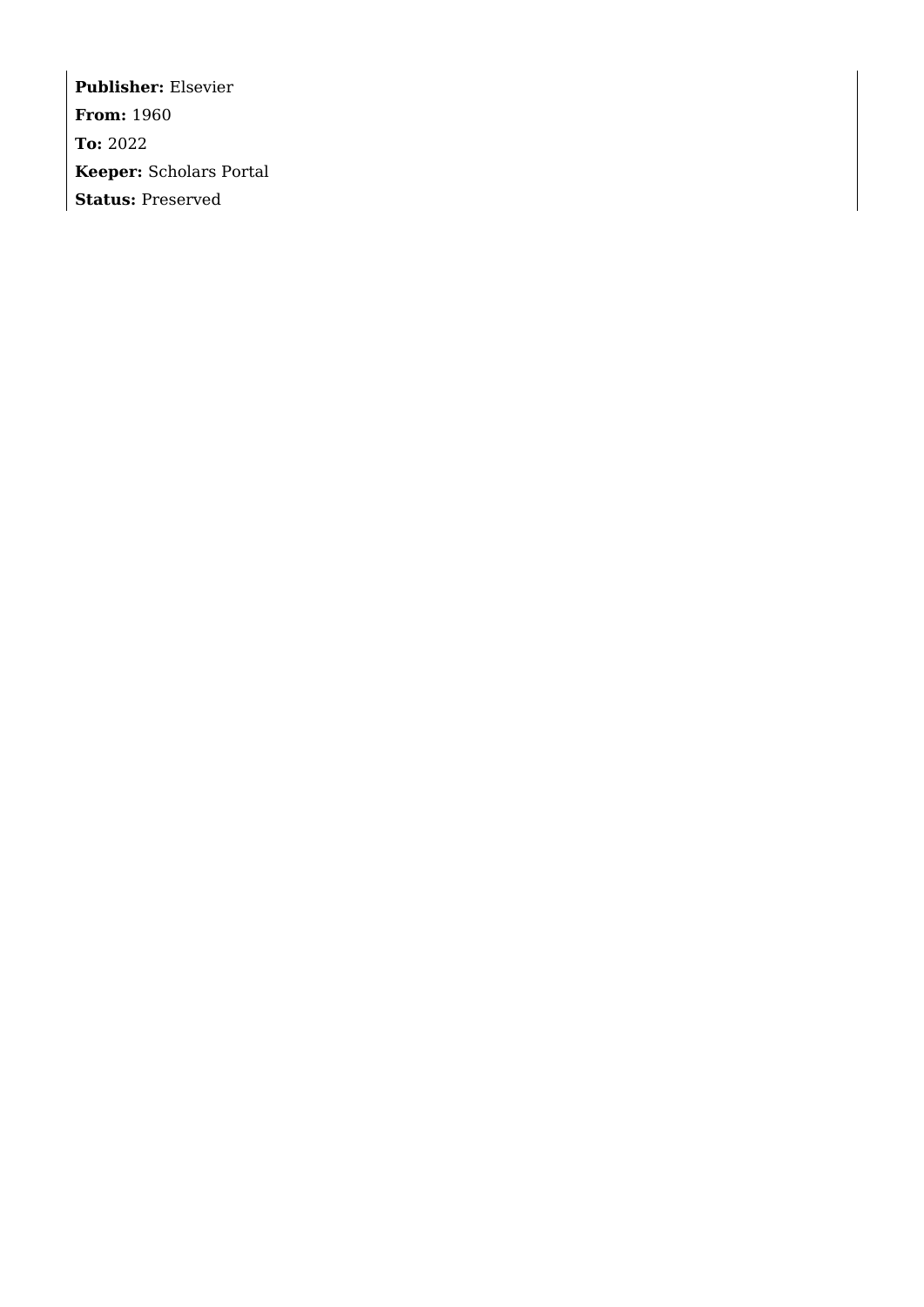**Publisher:** Elsevier **From:** 1960 **To:** 2022 **Keeper:** Scholars Portal **Status:** Preserved